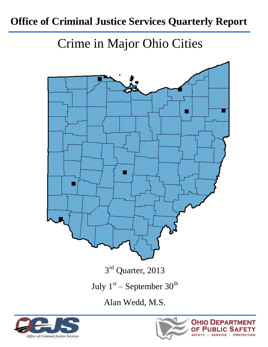# **Office of Criminal Justice Services Quarterly Report**

Crime in Major Ohio Cities





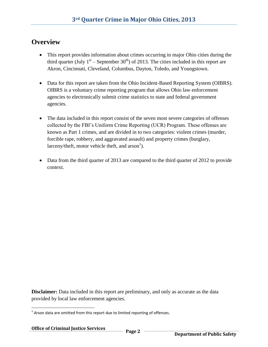#### **Overview**

- This report provides information about crimes occurring in major Ohio cities during the third quarter (July  $1<sup>st</sup>$  – September 30<sup>th</sup>) of 2013. The cities included in this report are Akron, Cincinnati, Cleveland, Columbus, Dayton, Toledo, and Youngstown.
- Data for this report are taken from the Ohio Incident-Based Reporting System (OIBRS). OIBRS is a voluntary crime reporting program that allows Ohio law enforcement agencies to electronically submit crime statistics to state and federal government agencies.
- The data included in this report consist of the seven most severe categories of offenses collected by the FBI's Uniform Crime Reporting (UCR) Program. These offenses are known as Part 1 crimes, and are divided in to two categories: violent crimes (murder, forcible rape, robbery, and aggravated assault) and property crimes (burglary, larceny/theft, motor vehicle theft, and  $arson<sup>1</sup>$ ).
- Data from the third quarter of 2013 are compared to the third quarter of 2012 to provide context.

**Disclaimer:** Data included in this report are preliminary, and only as accurate as the data provided by local law enforcement agencies.

 $\overline{\phantom{a}}$ 

 $1$  Arson data are omitted from this report due to limited reporting of offenses.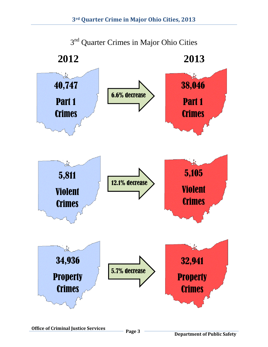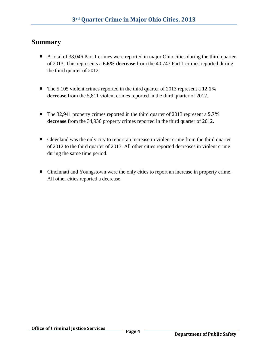#### **Summary**

- A total of 38,046 Part 1 crimes were reported in major Ohio cities during the third quarter of 2013. This represents a **6.6% decrease** from the 40,747 Part 1 crimes reported during the third quarter of 2012.
- The 5,105 violent crimes reported in the third quarter of 2013 represent a **12.1% decrease** from the 5,811 violent crimes reported in the third quarter of 2012.
- The 32,941 property crimes reported in the third quarter of 2013 represent a **5.7% decrease** from the 34,936 property crimes reported in the third quarter of 2012.
- Cleveland was the only city to report an increase in violent crime from the third quarter of 2012 to the third quarter of 2013. All other cities reported decreases in violent crime during the same time period.
- Cincinnati and Youngstown were the only cities to report an increase in property crime. All other cities reported a decrease.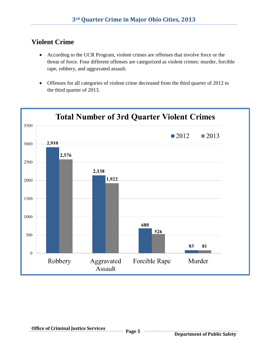# **Violent Crime**

- According to the UCR Program, violent crimes are offenses that involve force or the threat of force. Four different offenses are categorized as violent crimes: murder, forcible rape, robbery, and aggravated assault.
- Offenses for all categories of violent crime decreased from the third quarter of 2012 to the third quarter of 2013.

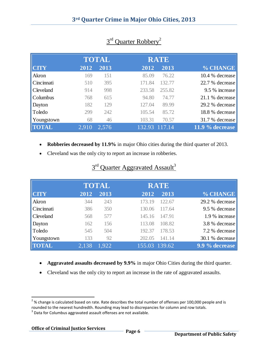|                  |       | <b>TOTAL</b> |        | <b>RATE</b> |                 |
|------------------|-------|--------------|--------|-------------|-----------------|
| <b>CITY</b>      | 2012  | 2013         | 2012   | 2013        | % CHANGE        |
| Akron            | 169   | 151          | 85.09  | 76.22       | 10.4 % decrease |
| Cincinnati       | 510   | 395          | 171.84 | 132.77      | 22.7 % decrease |
| <b>Cleveland</b> | 914   | 998          | 233.58 | 255.82      | 9.5 % increase  |
| <b>Columbus</b>  | 768   | 615          | 94.80  | 74.77       | 21.1 % decrease |
| Dayton           | 182   | 129          | 127.04 | 89.99       | 29.2 % decrease |
| Toledo           | 299   | 242          | 105.54 | 85.72       | 18.8 % decrease |
| Youngstown       | 68    | 46           | 103.31 | 70.57       | 31.7 % decrease |
| <b>TOTAL</b>     | 2.910 | 2,576        | 132.93 | 117.14      | 11.9 % decrease |

# 3<sup>rd</sup> Quarter Robbery<sup>2</sup>

- **Robberies decreased by 11.9%** in major Ohio cities during the third quarter of 2013.
- Cleveland was the only city to report an increase in robberies.

|                  |       | <b>TOTAL</b> | <b>RATE</b>   |        |                 |
|------------------|-------|--------------|---------------|--------|-----------------|
| <b>CTY</b>       | 2012  | 2013         | 2012          | 2013   | % CHANGE        |
| Akron            | 344   | 243          | 173.19        | 122.67 | 29.2 % decrease |
| Cincinnati       | 386   | 350          | 130.06        | 117.64 | 9.5 % decrease  |
| <b>Cleveland</b> | 568   | 577          | 145.16        | 147.91 | 1.9 % increase  |
| Dayton           | 162   | 156          | 113.08        | 108.82 | 3.8 % decrease  |
| Toledo           | 545   | 504          | 192.37        | 178.53 | 7.2 % decrease  |
| Youngstown       | 133   | 92           | 202.05        | 141.14 | 30.1 % decrease |
| <b>TOTAL</b>     | 2,138 | 1.922        | 155.03 139.62 |        | 9.9 % decrease  |

#### 3<sup>rd</sup> Quarter Aggravated Assault<sup>3</sup>

- **Aggravated assaults decreased by 9.9%** in major Ohio Cities during the third quarter.
- Cleveland was the only city to report an increase in the rate of aggravated assaults.

 $\overline{\phantom{a}}$ 

 $^{2}$ % change is calculated based on rate. Rate describes the total number of offenses per 100,000 people and is rounded to the nearest hundredth. Rounding may lead to discrepancies for column and row totals.

 $3$  Data for Columbus aggravated assault offenses are not available.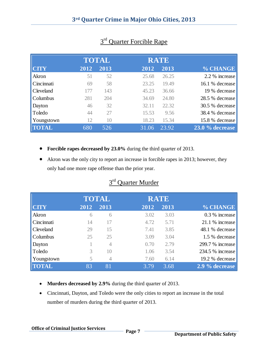|                  |      | <b>TOTAL</b> |       | <b>RATE</b> |                   |
|------------------|------|--------------|-------|-------------|-------------------|
| <b>CITY</b>      | 2012 | 2013         | 2012  | 2013        | % CHANGE          |
| Akron            | 51   | 52           | 25.68 | 26.25       | 2.2 % increase    |
| Cincinnati       | 69   | 58           | 23.25 | 19.49       | 16.1 % decrease   |
| <b>Cleveland</b> | 177  | 143          | 45.23 | 36.66       | 19 % decrease     |
| <b>Columbus</b>  | 281  | 204          | 34.69 | 24.80       | 28.5 % decrease   |
| Dayton           | 46   | 32           | 32.11 | 22.32       | 30.5 % decrease   |
| Toledo           | 44   | 27           | 15.53 | 9.56        | 38.4 % decrease   |
| Youngstown       | 12   | 10           | 18.23 | 15.34       | 15.8 % decrease   |
| <b>TOTAL</b>     | 680  | 526          | 31.06 | 23.92       | $23.0\%$ decrease |

#### 3<sup>rd</sup> Quarter Forcible Rape

- **Forcible rapes decreased by 23.0%** during the third quarter of 2013.
- Akron was the only city to report an increase in forcible rapes in 2013; however, they only had one more rape offense than the prior year.

| $3rd$ Ouarter Murder |
|----------------------|
|----------------------|

|              |      | <b>TOTAL</b> |      | <b>RATE</b> |                   |
|--------------|------|--------------|------|-------------|-------------------|
| <b>CITY</b>  | 2012 | 2013         | 2012 | 2013        | % CHANGE          |
| Akron        | 6    | 6            | 3.02 | 3.03        | $0.3\%$ increase  |
| Cincinnati   | 14   | 17           | 4.72 | 5.71        | $21.1\%$ increase |
| Cleveland    | 29   | 15           | 7.41 | 3.85        | 48.1 % decrease   |
| Columbus     | 25   | 25           | 3.09 | 3.04        | 1.5 % decrease    |
| Dayton       |      | 4            | 0.70 | 2.79        | 299.7 % increase  |
| Toledo       | 3    | 10           | 1.06 | 3.54        | 234.5 % increase  |
| Youngstown   | 5    | 4            | 7.60 | 6.14        | 19.2 % decrease   |
| <b>TOTAL</b> | 83   | 81           | 3.79 | 3.68        | 2.9 % decrease    |
|              |      |              |      |             |                   |

- **Murders decreased by 2.9%** during the third quarter of 2013.
- Cincinnati, Dayton, and Toledo were the only cities to report an increase in the total number of murders during the third quarter of 2013.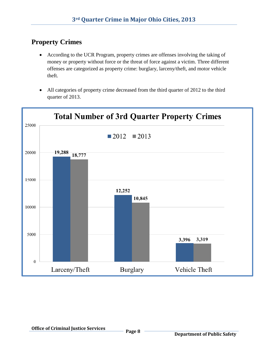# **Property Crimes**

- According to the UCR Program, property crimes are offenses involving the taking of money or property without force or the threat of force against a victim. Three different offenses are categorized as property crime: burglary, larceny/theft, and motor vehicle theft.
- All categories of property crime decreased from the third quarter of 2012 to the third quarter of 2013.

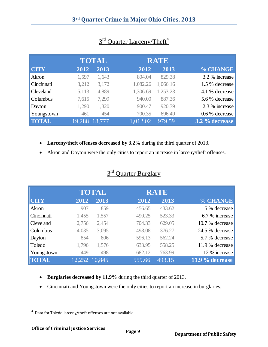|                  |        | <b>TOTAL</b> |          | <b>RATE</b> |                |
|------------------|--------|--------------|----------|-------------|----------------|
| <b>CTY</b>       | 2012   | 2013         | 2012     | 2013        | % CHANGE       |
| Akron            | 1,597  | 1,643        | 804.04   | 829.38      | 3.2 % increase |
| Cincinnati       | 3,212  | 3,172        | 1,082.26 | 1,066.16    | 1.5 % decrease |
| <b>Cleveland</b> | 5,113  | 4,889        | 1,306.69 | 1,253.23    | 4.1 % decrease |
| <b>Columbus</b>  | 7,615  | 7,299        | 940.00   | 887.36      | 5.6 % decrease |
| Dayton           | 1,290  | 1,320        | 900.47   | 920.79      | 2.3 % increase |
| Youngstown       | 461    | 454          | 700.35   | 696.49      | 0.6 % decrease |
| <b>TOTAL</b>     | 19,288 | 18,777       | 1,012.02 | 979.59      | 3.2 % decrease |

### 3<sup>rd</sup> Quarter Larceny/Theft<sup>4</sup>

- **Larceny/theft offenses decreased by 3.2%** during the third quarter of 2013.
- Akron and Dayton were the only cities to report an increase in larceny/theft offenses.

| <sup>d</sup> Ouarter Burglary |
|-------------------------------|
|-------------------------------|

|              |       | <b>TOTAL</b>  |        | <b>RATE</b> |                   |
|--------------|-------|---------------|--------|-------------|-------------------|
| <b>CITY</b>  | 2012  | 2013          | 2012   | 2013        | % CHANGE          |
| Akron        | 907   | 859           | 456.65 | 433.62      | 5 % decrease      |
| Cincinnati   | 1,455 | 1,557         | 490.25 | 523.33      | 6.7 % increase    |
| Cleveland    | 2,756 | 2,454         | 704.33 | 629.05      | 10.7 % decrease   |
| Columbus     | 4,035 | 3,095         | 498.08 | 376.27      | 24.5 % decrease   |
| Dayton       | 854   | 806           | 596.13 | 562.24      | 5.7 % decrease    |
| Toledo       | 1,796 | 1,576         | 633.95 | 558.25      | 11.9 % decrease   |
| Youngstown   | 449   | 498           | 682.12 | 763.99      | 12 % increase     |
| <b>TOTAL</b> |       | 12,252 10,845 | 559.66 | 493.15      | $11.9\%$ decrease |

- **Burglaries decreased by 11.9%** during the third quarter of 2013.
- Cincinnati and Youngstown were the only cities to report an increase in burglaries.

 4 Data for Toledo larceny/theft offenses are not available.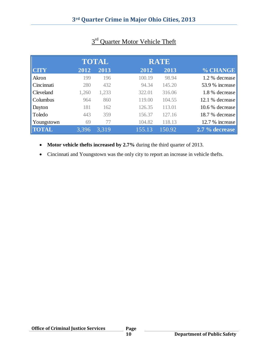|                  |       | <b>TOTAL</b> |        | <b>RATE</b> |                 |
|------------------|-------|--------------|--------|-------------|-----------------|
| <b>CITY</b>      | 2012  | 2013         | 2012   | 2013        | % CHANGE        |
| Akron            | 199   | 196          | 100.19 | 98.94       | 1.2 % decrease  |
| Cincinnati       | 280   | 432          | 94.34  | 145.20      | 53.9 % increase |
| <b>Cleveland</b> | 1,260 | 1,233        | 322.01 | 316.06      | 1.8 % decrease  |
| <b>Columbus</b>  | 964   | 860          | 119.00 | 104.55      | 12.1 % decrease |
| Dayton           | 181   | 162          | 126.35 | 113.01      | 10.6 % decrease |
| Toledo           | 443   | 359          | 156.37 | 127.16      | 18.7 % decrease |
| Youngstown       | 69    | 77           | 104.82 | 118.13      | 12.7 % increase |
| <b>TOTAL</b>     | 3,396 | 3,319        | 155.13 | 150.92      | 2.7 % decrease  |

# 3<sup>rd</sup> Quarter Motor Vehicle Theft

• **Motor vehicle thefts increased by 2.7%** during the third quarter of 2013.

Cincinnati and Youngstown was the only city to report an increase in vehicle thefts.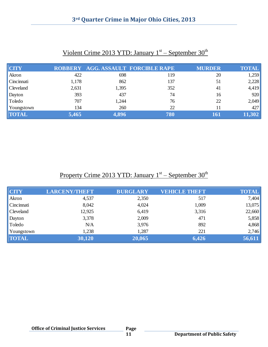| <b>CITY</b>  | <b>ROBBERY</b> |       | <b>AGG. ASSAULT FORCIBLE RAPE</b> | <b>MURDER</b> | <b>TOTAL</b> |
|--------------|----------------|-------|-----------------------------------|---------------|--------------|
| Akron        | 422            | 698   | 119                               | 20            | 1,259        |
| Cincinnati   | 1,178          | 862   | 137                               | 51            | 2,228        |
| Cleveland    | 2,631          | 1,395 | 352                               | 41            | 4,419        |
| Dayton       | 393            | 437   | 74                                | 16            | 920          |
| Toledo       | 707            | 1,244 | 76                                | 22            | 2,049        |
| Youngstown   | 134            | 260   | 22                                | 11            | 427          |
| <b>TOTAL</b> | 5,465          | 4,896 | 780                               | 161           | 11,302       |

#### Violent Crime 2013 YTD: January  $1<sup>st</sup>$  – September 30<sup>th</sup>

#### Property Crime 2013 YTD: January 1<sup>st</sup> – September 30<sup>th</sup>

| <b>CITY</b>  | <b>LARCENY/THEFT</b> | <b>BURGLARY</b> | <b>VEHICLE THEFT</b> | <b>TOTAL</b> |
|--------------|----------------------|-----------------|----------------------|--------------|
| Akron        | 4,537                | 2,350           | 517                  | 7,404        |
| Cincinnati   | 8,042                | 4,024           | 1,009                | 13,075       |
| Cleveland    | 12,925               | 6,419           | 3,316                | 22,660       |
| Dayton       | 3,378                | 2,009           | 471                  | 5,858        |
| Toledo       | N/A                  | 3,976           | 892                  | 4,868        |
| Youngstown   | 1,238                | 1,287           | 221                  | 2,746        |
| <b>TOTAL</b> | 30,120               | 20,065          | 6,426                | 56,611       |